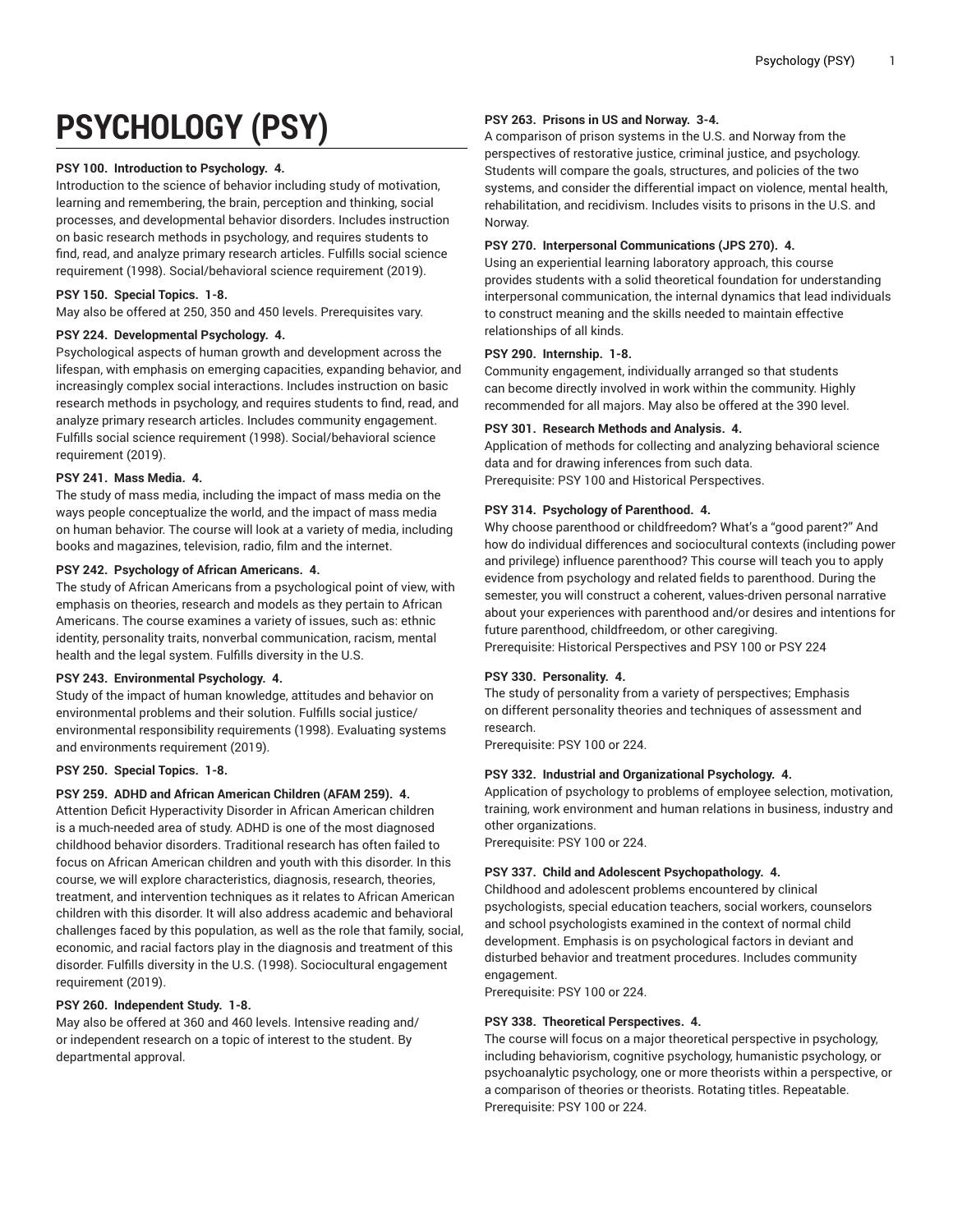# **PSYCHOLOGY (PSY)**

## **PSY 100. Introduction to Psychology. 4.**

Introduction to the science of behavior including study of motivation, learning and remembering, the brain, perception and thinking, social processes, and developmental behavior disorders. Includes instruction on basic research methods in psychology, and requires students to find, read, and analyze primary research articles. Fulfills social science requirement (1998). Social/behavioral science requirement (2019).

## **PSY 150. Special Topics. 1-8.**

May also be offered at 250, 350 and 450 levels. Prerequisites vary.

## **PSY 224. Developmental Psychology. 4.**

Psychological aspects of human growth and development across the lifespan, with emphasis on emerging capacities, expanding behavior, and increasingly complex social interactions. Includes instruction on basic research methods in psychology, and requires students to find, read, and analyze primary research articles. Includes community engagement. Fulfills social science requirement (1998). Social/behavioral science requirement (2019).

# **PSY 241. Mass Media. 4.**

The study of mass media, including the impact of mass media on the ways people conceptualize the world, and the impact of mass media on human behavior. The course will look at a variety of media, including books and magazines, television, radio, film and the internet.

## **PSY 242. Psychology of African Americans. 4.**

The study of African Americans from a psychological point of view, with emphasis on theories, research and models as they pertain to African Americans. The course examines a variety of issues, such as: ethnic identity, personality traits, nonverbal communication, racism, mental health and the legal system. Fulfills diversity in the U.S.

# **PSY 243. Environmental Psychology. 4.**

Study of the impact of human knowledge, attitudes and behavior on environmental problems and their solution. Fulfills social justice/ environmental responsibility requirements (1998). Evaluating systems and environments requirement (2019).

# **PSY 250. Special Topics. 1-8.**

# **PSY 259. ADHD and African American Children (AFAM 259). 4.**

Attention Deficit Hyperactivity Disorder in African American children is a much-needed area of study. ADHD is one of the most diagnosed childhood behavior disorders. Traditional research has often failed to focus on African American children and youth with this disorder. In this course, we will explore characteristics, diagnosis, research, theories, treatment, and intervention techniques as it relates to African American children with this disorder. It will also address academic and behavioral challenges faced by this population, as well as the role that family, social, economic, and racial factors play in the diagnosis and treatment of this disorder. Fulfills diversity in the U.S. (1998). Sociocultural engagement requirement (2019).

# **PSY 260. Independent Study. 1-8.**

May also be offered at 360 and 460 levels. Intensive reading and/ or independent research on a topic of interest to the student. By departmental approval.

### **PSY 263. Prisons in US and Norway. 3-4.**

A comparison of prison systems in the U.S. and Norway from the perspectives of restorative justice, criminal justice, and psychology. Students will compare the goals, structures, and policies of the two systems, and consider the differential impact on violence, mental health, rehabilitation, and recidivism. Includes visits to prisons in the U.S. and Norway.

## **PSY 270. Interpersonal Communications (JPS 270). 4.**

Using an experiential learning laboratory approach, this course provides students with a solid theoretical foundation for understanding interpersonal communication, the internal dynamics that lead individuals to construct meaning and the skills needed to maintain effective relationships of all kinds.

## **PSY 290. Internship. 1-8.**

Community engagement, individually arranged so that students can become directly involved in work within the community. Highly recommended for all majors. May also be offered at the 390 level.

#### **PSY 301. Research Methods and Analysis. 4.**

Application of methods for collecting and analyzing behavioral science data and for drawing inferences from such data. Prerequisite: PSY 100 and Historical Perspectives.

## **PSY 314. Psychology of Parenthood. 4.**

Why choose parenthood or childfreedom? What's a "good parent?" And how do individual differences and sociocultural contexts (including power and privilege) influence parenthood? This course will teach you to apply evidence from psychology and related fields to parenthood. During the semester, you will construct a coherent, values-driven personal narrative about your experiences with parenthood and/or desires and intentions for future parenthood, childfreedom, or other caregiving.

Prerequisite: Historical Perspectives and PSY 100 or PSY 224

# **PSY 330. Personality. 4.**

The study of personality from a variety of perspectives; Emphasis on different personality theories and techniques of assessment and research.

Prerequisite: PSY 100 or 224.

# **PSY 332. Industrial and Organizational Psychology. 4.**

Application of psychology to problems of employee selection, motivation, training, work environment and human relations in business, industry and other organizations.

Prerequisite: PSY 100 or 224.

#### **PSY 337. Child and Adolescent Psychopathology. 4.**

Childhood and adolescent problems encountered by clinical psychologists, special education teachers, social workers, counselors and school psychologists examined in the context of normal child development. Emphasis is on psychological factors in deviant and disturbed behavior and treatment procedures. Includes community engagement.

Prerequisite: PSY 100 or 224.

#### **PSY 338. Theoretical Perspectives. 4.**

The course will focus on a major theoretical perspective in psychology, including behaviorism, cognitive psychology, humanistic psychology, or psychoanalytic psychology, one or more theorists within a perspective, or a comparison of theories or theorists. Rotating titles. Repeatable. Prerequisite: PSY 100 or 224.